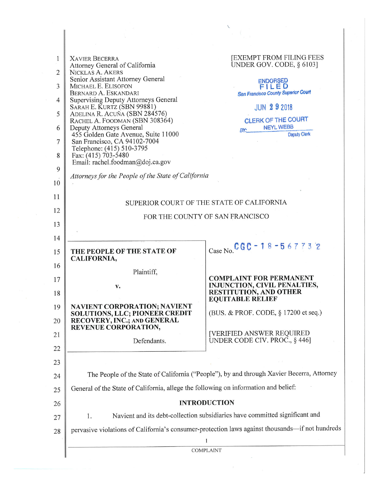|                |                                                                                                             | X                                                                                               |  |  |  |
|----------------|-------------------------------------------------------------------------------------------------------------|-------------------------------------------------------------------------------------------------|--|--|--|
|                |                                                                                                             |                                                                                                 |  |  |  |
| 1              | <b>XAVIER BECERRA</b><br>Attorney General of California                                                     | <b>JEXEMPT FROM FILING FEES</b><br>UNDER GOV. CODE, § 6103]                                     |  |  |  |
| $\overline{2}$ | NICKLAS A. AKERS<br>Senior Assistant Attorney General                                                       | <b>ENDORSED</b>                                                                                 |  |  |  |
| 3              | MICHAEL E. ELISOFON<br>BERNARD A. ESKANDARI                                                                 | FILED<br><b>San Francisco County Superior Court</b>                                             |  |  |  |
| $\overline{4}$ | <b>Supervising Deputy Attorneys General</b><br>SARAH E. KURTZ (SBN 99881)                                   | <b>JUN 292018</b>                                                                               |  |  |  |
| 5              | ADELINA R. ACUÑA (SBN 284576)<br>RACHEL A. FOODMAN (SBN 308364)                                             | CLERK OF THE COURT                                                                              |  |  |  |
| 6              | Deputy Attorneys General<br>455 Golden Gate Avenue, Suite 11000                                             | <b>NEYL WEBB</b><br>BY:<br>Deputy Clerk                                                         |  |  |  |
| 7              | San Francisco, CA 94102-7004<br>Telephone: (415) 510-3795                                                   |                                                                                                 |  |  |  |
| 8              | Fax: (415) 703-5480<br>Email: rachel.foodman@doj.ca.gov                                                     |                                                                                                 |  |  |  |
| 9              | Attorneys for the People of the State of California                                                         |                                                                                                 |  |  |  |
| 10             |                                                                                                             |                                                                                                 |  |  |  |
| 11             | SUPERIOR COURT OF THE STATE OF CALIFORNIA                                                                   |                                                                                                 |  |  |  |
| 12             | FOR THE COUNTY OF SAN FRANCISCO                                                                             |                                                                                                 |  |  |  |
| 13             |                                                                                                             |                                                                                                 |  |  |  |
| 14             |                                                                                                             |                                                                                                 |  |  |  |
| 15             | THE PEOPLE OF THE STATE OF<br>CALIFORNIA,                                                                   | Case No. CGC - 18 - 567732                                                                      |  |  |  |
| 16             | Plaintiff,                                                                                                  |                                                                                                 |  |  |  |
| 17<br>18       | v.                                                                                                          | <b>COMPLAINT FOR PERMANENT</b><br>INJUNCTION, CIVIL PENALTIES,<br><b>RESTITUTION, AND OTHER</b> |  |  |  |
|                |                                                                                                             | <b>EOUITABLE RELIEF</b>                                                                         |  |  |  |
| 19<br>20       | <b>NAVIENT CORPORATION; NAVIENT</b><br><b>SOLUTIONS, LLC; PIONEER CREDIT</b><br>RECOVERY, INC.; AND GENERAL | (BUS. & PROF. CODE, § 17200 et seq.)                                                            |  |  |  |
| 21             | REVENUE CORPORATION,                                                                                        | [VERIFIED ANSWER REQUIRED                                                                       |  |  |  |
| 22             | Defendants.                                                                                                 | UNDER CODE CIV. PROC., $§$ 446]                                                                 |  |  |  |
| 23             |                                                                                                             |                                                                                                 |  |  |  |
| 24             | The People of the State of California ("People"), by and through Xavier Becerra, Attorney                   |                                                                                                 |  |  |  |
| 25             | General of the State of California, allege the following on information and belief:                         |                                                                                                 |  |  |  |
| 26             | <b>INTRODUCTION</b>                                                                                         |                                                                                                 |  |  |  |
| 27             | Navient and its debt-collection subsidiaries have committed significant and<br>1.                           |                                                                                                 |  |  |  |
| 28             |                                                                                                             | pervasive violations of California's consumer-protection laws against thousands-if not hundreds |  |  |  |
|                |                                                                                                             | <b>COMPLAINT</b>                                                                                |  |  |  |
|                |                                                                                                             |                                                                                                 |  |  |  |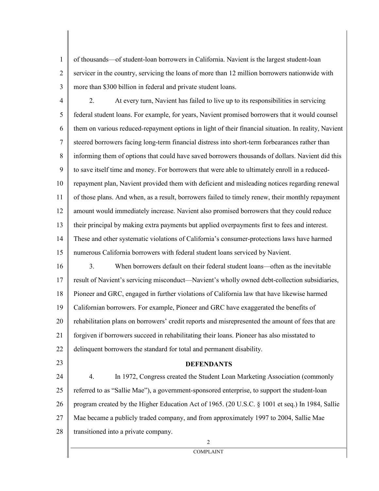2 3 of thousands—of student-loan borrowers in California. Navient is the largest student-loan servicer in the country, servicing the loans of more than 12 million borrowers nationwide with more than \$300 billion in federal and private student loans.

4 5 6 7 8 9 10 11 12 13 14 15 16 17 2. At every turn, Navient has failed to live up to its responsibilities in servicing federal student loans. For example, for years, Navient promised borrowers that it would counsel them on various reduced-repayment options in light of their financial situation. In reality, Navient steered borrowers facing long-term financial distress into short-term forbearances rather than informing them of options that could have saved borrowers thousands of dollars. Navient did this to save itself time and money. For borrowers that were able to ultimately enroll in a reducedrepayment plan, Navient provided them with deficient and misleading notices regarding renewal of those plans. And when, as a result, borrowers failed to timely renew, their monthly repayment amount would immediately increase. Navient also promised borrowers that they could reduce their principal by making extra payments but applied overpayments first to fees and interest. These and other systematic violations of California's consumer-protections laws have harmed numerous California borrowers with federal student loans serviced by Navient. 3. When borrowers default on their federal student loans—often as the inevitable result of Navient's servicing misconduct—Navient's wholly owned debt-collection subsidiaries,

18 Pioneer and GRC, engaged in further violations of California law that have likewise harmed

19 Californian borrowers. For example, Pioneer and GRC have exaggerated the benefits of

20 rehabilitation plans on borrowers' credit reports and misrepresented the amount of fees that are

21 22 forgiven if borrowers succeed in rehabilitating their loans. Pioneer has also misstated to delinquent borrowers the standard for total and permanent disability.

23

1

# **DEFENDANTS**

24 25 26 27 28 4. In 1972, Congress created the Student Loan Marketing Association (commonly referred to as "Sallie Mae"), a government-sponsored enterprise, to support the student-loan program created by the Higher Education Act of 1965. (20 U.S.C. § 1001 et seq.) In 1984, Sallie Mae became a publicly traded company, and from approximately 1997 to 2004, Sallie Mae transitioned into a private company.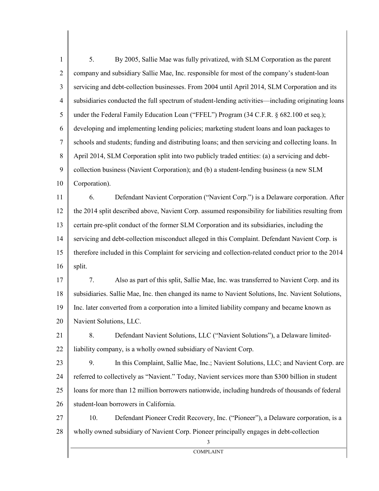1 2 3 4 5 6 7 8 9 10 11 12 13 14 15 16 17 18 19 20 21 22 23 24 25 26 27 5. By 2005, Sallie Mae was fully privatized, with SLM Corporation as the parent company and subsidiary Sallie Mae, Inc. responsible for most of the company's student-loan servicing and debt-collection businesses. From 2004 until April 2014, SLM Corporation and its subsidiaries conducted the full spectrum of student-lending activities—including originating loans under the Federal Family Education Loan ("FFEL") Program (34 C.F.R. § 682.100 et seq.); developing and implementing lending policies; marketing student loans and loan packages to schools and students; funding and distributing loans; and then servicing and collecting loans. In April 2014, SLM Corporation split into two publicly traded entities: (a) a servicing and debtcollection business (Navient Corporation); and (b) a student-lending business (a new SLM Corporation). 6. Defendant Navient Corporation ("Navient Corp.") is a Delaware corporation. After the 2014 split described above, Navient Corp. assumed responsibility for liabilities resulting from certain pre-split conduct of the former SLM Corporation and its subsidiaries, including the servicing and debt-collection misconduct alleged in this Complaint. Defendant Navient Corp. is therefore included in this Complaint for servicing and collection-related conduct prior to the 2014 split. 7. Also as part of this split, Sallie Mae, Inc. was transferred to Navient Corp. and its subsidiaries. Sallie Mae, Inc. then changed its name to Navient Solutions, Inc. Navient Solutions, Inc. later converted from a corporation into a limited liability company and became known as Navient Solutions, LLC. 8. Defendant Navient Solutions, LLC ("Navient Solutions"), a Delaware limitedliability company, is a wholly owned subsidiary of Navient Corp. 9. In this Complaint, Sallie Mae, Inc.; Navient Solutions, LLC; and Navient Corp. are referred to collectively as "Navient." Today, Navient services more than \$300 billion in student loans for more than 12 million borrowers nationwide, including hundreds of thousands of federal student-loan borrowers in California. 10. Defendant Pioneer Credit Recovery, Inc. ("Pioneer"), a Delaware corporation, is a

28 wholly owned subsidiary of Navient Corp. Pioneer principally engages in debt-collection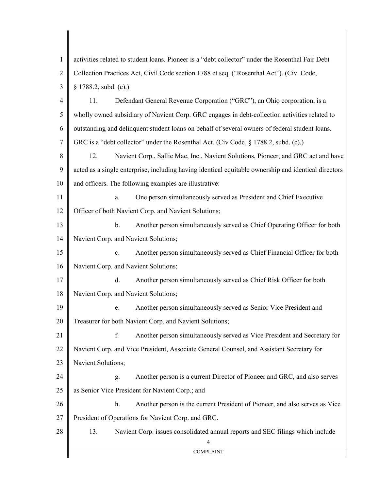| $\mathbf{1}$   | activities related to student loans. Pioneer is a "debt collector" under the Rosenthal Fair Debt     |  |  |  |  |
|----------------|------------------------------------------------------------------------------------------------------|--|--|--|--|
| $\overline{2}$ | Collection Practices Act, Civil Code section 1788 et seq. ("Rosenthal Act"). (Civ. Code,             |  |  |  |  |
| 3              | $§$ 1788.2, subd. (c).)                                                                              |  |  |  |  |
| 4              | Defendant General Revenue Corporation ("GRC"), an Ohio corporation, is a<br>11.                      |  |  |  |  |
| 5              | wholly owned subsidiary of Navient Corp. GRC engages in debt-collection activities related to        |  |  |  |  |
| 6              | outstanding and delinquent student loans on behalf of several owners of federal student loans.       |  |  |  |  |
| 7              | GRC is a "debt collector" under the Rosenthal Act. (Civ Code, § 1788.2, subd. (c).)                  |  |  |  |  |
| 8              | Navient Corp., Sallie Mae, Inc., Navient Solutions, Pioneer, and GRC act and have<br>12.             |  |  |  |  |
| 9              | acted as a single enterprise, including having identical equitable ownership and identical directors |  |  |  |  |
| 10             | and officers. The following examples are illustrative:                                               |  |  |  |  |
| 11             | One person simultaneously served as President and Chief Executive<br>a.                              |  |  |  |  |
| 12             | Officer of both Navient Corp. and Navient Solutions;                                                 |  |  |  |  |
| 13             | Another person simultaneously served as Chief Operating Officer for both<br>$\mathbf{b}$ .           |  |  |  |  |
| 14             | Navient Corp. and Navient Solutions;                                                                 |  |  |  |  |
| 15             | Another person simultaneously served as Chief Financial Officer for both<br>C <sub>1</sub>           |  |  |  |  |
| 16             | Navient Corp. and Navient Solutions;                                                                 |  |  |  |  |
| 17             | Another person simultaneously served as Chief Risk Officer for both<br>d.                            |  |  |  |  |
| 18             | Navient Corp. and Navient Solutions;                                                                 |  |  |  |  |
| 19             | e. Another person simultaneously served as Senior Vice President and                                 |  |  |  |  |
| 20             | Treasurer for both Navient Corp. and Navient Solutions;                                              |  |  |  |  |
| 21             | f.<br>Another person simultaneously served as Vice President and Secretary for                       |  |  |  |  |
| 22             | Navient Corp. and Vice President, Associate General Counsel, and Assistant Secretary for             |  |  |  |  |
| 23             | Navient Solutions;                                                                                   |  |  |  |  |
| 24             | Another person is a current Director of Pioneer and GRC, and also serves<br>g.                       |  |  |  |  |
| 25             | as Senior Vice President for Navient Corp.; and                                                      |  |  |  |  |
| 26             | Another person is the current President of Pioneer, and also serves as Vice<br>h.                    |  |  |  |  |
| 27             | President of Operations for Navient Corp. and GRC.                                                   |  |  |  |  |
| 28             | 13.<br>Navient Corp. issues consolidated annual reports and SEC filings which include<br>4           |  |  |  |  |
|                | <b>COMPLAINT</b>                                                                                     |  |  |  |  |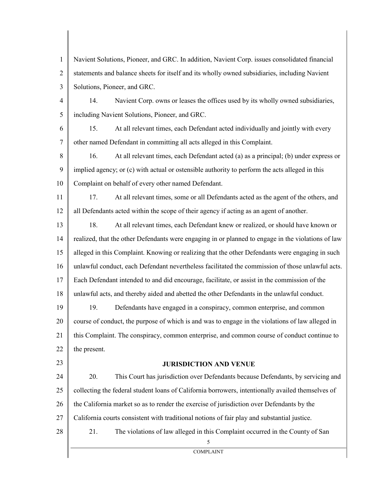1 2 3 Navient Solutions, Pioneer, and GRC. In addition, Navient Corp. issues consolidated financial statements and balance sheets for itself and its wholly owned subsidiaries, including Navient Solutions, Pioneer, and GRC.

4 5 14. Navient Corp. owns or leases the offices used by its wholly owned subsidiaries, including Navient Solutions, Pioneer, and GRC.

6 7 15. At all relevant times, each Defendant acted individually and jointly with every other named Defendant in committing all acts alleged in this Complaint.

8 9 10 16. At all relevant times, each Defendant acted (a) as a principal; (b) under express or implied agency; or (c) with actual or ostensible authority to perform the acts alleged in this Complaint on behalf of every other named Defendant.

11 12 17. At all relevant times, some or all Defendants acted as the agent of the others, and all Defendants acted within the scope of their agency if acting as an agent of another.

13 14 15 16 17 18 18. At all relevant times, each Defendant knew or realized, or should have known or realized, that the other Defendants were engaging in or planned to engage in the violations of law alleged in this Complaint. Knowing or realizing that the other Defendants were engaging in such unlawful conduct, each Defendant nevertheless facilitated the commission of those unlawful acts. Each Defendant intended to and did encourage, facilitate, or assist in the commission of the unlawful acts, and thereby aided and abetted the other Defendants in the unlawful conduct.

19 20 21 22 19. Defendants have engaged in a conspiracy, common enterprise, and common course of conduct, the purpose of which is and was to engage in the violations of law alleged in this Complaint. The conspiracy, common enterprise, and common course of conduct continue to the present.

23

## **JURISDICTION AND VENUE**

24 25 26 27 28 20. This Court has jurisdiction over Defendants because Defendants, by servicing and collecting the federal student loans of California borrowers, intentionally availed themselves of the California market so as to render the exercise of jurisdiction over Defendants by the California courts consistent with traditional notions of fair play and substantial justice.

21. The violations of law alleged in this Complaint occurred in the County of San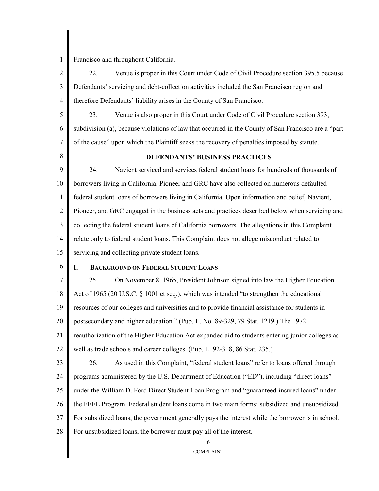Francisco and throughout California.

2 3 4 22. Venue is proper in this Court under Code of Civil Procedure section 395.5 because Defendants' servicing and debt-collection activities included the San Francisco region and therefore Defendants' liability arises in the County of San Francisco.

5 6 7 23. Venue is also proper in this Court under Code of Civil Procedure section 393, subdivision (a), because violations of law that occurred in the County of San Francisco are a "part of the cause" upon which the Plaintiff seeks the recovery of penalties imposed by statute.

8

1

# **DEFENDANTS' BUSINESS PRACTICES**

9 10 11 12 13 14 15 24. Navient serviced and services federal student loans for hundreds of thousands of borrowers living in California. Pioneer and GRC have also collected on numerous defaulted federal student loans of borrowers living in California. Upon information and belief, Navient, Pioneer, and GRC engaged in the business acts and practices described below when servicing and collecting the federal student loans of California borrowers. The allegations in this Complaint relate only to federal student loans. This Complaint does not allege misconduct related to servicing and collecting private student loans.

16

## **I. BACKGROUND ON FEDERAL STUDENT LOANS**

17 18 19 20 21 22 25. On November 8, 1965, President Johnson signed into law the Higher Education Act of 1965 (20 U.S.C. § 1001 et seq.), which was intended "to strengthen the educational resources of our colleges and universities and to provide financial assistance for students in postsecondary and higher education." (Pub. L. No. 89-329, 79 Stat. 1219.) The 1972 reauthorization of the Higher Education Act expanded aid to students entering junior colleges as well as trade schools and career colleges. (Pub. L. 92-318, 86 Stat. 235.)

23 24 25 26 27 26. As used in this Complaint, "federal student loans" refer to loans offered through programs administered by the U.S. Department of Education ("ED"), including "direct loans" under the William D. Ford Direct Student Loan Program and "guaranteed-insured loans" under the FFEL Program. Federal student loans come in two main forms: subsidized and unsubsidized. For subsidized loans, the government generally pays the interest while the borrower is in school.

28 For unsubsidized loans, the borrower must pay all of the interest.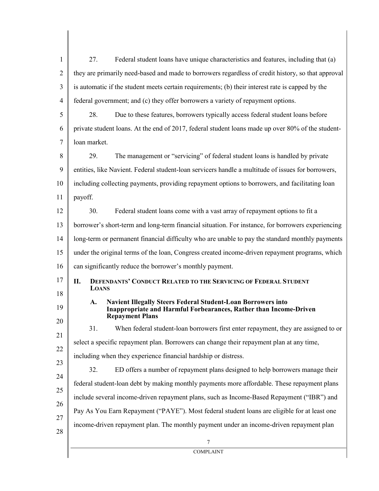| $\mathbf{1}$   | 27.<br>Federal student loans have unique characteristics and features, including that (a)                                                                                |  |  |  |  |
|----------------|--------------------------------------------------------------------------------------------------------------------------------------------------------------------------|--|--|--|--|
| $\overline{2}$ | they are primarily need-based and made to borrowers regardless of credit history, so that approval                                                                       |  |  |  |  |
| 3              | is automatic if the student meets certain requirements; (b) their interest rate is capped by the                                                                         |  |  |  |  |
| $\overline{4}$ | federal government; and (c) they offer borrowers a variety of repayment options.                                                                                         |  |  |  |  |
| 5              | 28.<br>Due to these features, borrowers typically access federal student loans before                                                                                    |  |  |  |  |
| 6              | private student loans. At the end of 2017, federal student loans made up over 80% of the student-                                                                        |  |  |  |  |
| $\overline{7}$ | loan market.                                                                                                                                                             |  |  |  |  |
| 8              | 29.<br>The management or "servicing" of federal student loans is handled by private                                                                                      |  |  |  |  |
| 9              | entities, like Navient. Federal student-loan servicers handle a multitude of issues for borrowers,                                                                       |  |  |  |  |
| 10             | including collecting payments, providing repayment options to borrowers, and facilitating loan                                                                           |  |  |  |  |
| 11             | payoff.                                                                                                                                                                  |  |  |  |  |
| 12             | Federal student loans come with a vast array of repayment options to fit a<br>30.                                                                                        |  |  |  |  |
| 13             | borrower's short-term and long-term financial situation. For instance, for borrowers experiencing                                                                        |  |  |  |  |
| 14             | long-term or permanent financial difficulty who are unable to pay the standard monthly payments                                                                          |  |  |  |  |
| 15             | under the original terms of the loan, Congress created income-driven repayment programs, which                                                                           |  |  |  |  |
| 16             | can significantly reduce the borrower's monthly payment.                                                                                                                 |  |  |  |  |
| 17<br>18       | <b>DEFENDANTS' CONDUCT RELATED TO THE SERVICING OF FEDERAL STUDENT</b><br>П.<br><b>LOANS</b>                                                                             |  |  |  |  |
| 19             | <b>Navient Illegally Steers Federal Student-Loan Borrowers into</b><br>A.<br>Inappropriate and Harmful Forbearances, Rather than Income-Driven<br><b>Repayment Plans</b> |  |  |  |  |
| 20             | 31.<br>When federal student-loan borrowers first enter repayment, they are assigned to or                                                                                |  |  |  |  |
| 21             | select a specific repayment plan. Borrowers can change their repayment plan at any time,                                                                                 |  |  |  |  |
| 22             | including when they experience financial hardship or distress.                                                                                                           |  |  |  |  |
| 23             | 32.<br>ED offers a number of repayment plans designed to help borrowers manage their                                                                                     |  |  |  |  |
| 24             | federal student-loan debt by making monthly payments more affordable. These repayment plans                                                                              |  |  |  |  |
| 25<br>26       | include several income-driven repayment plans, such as Income-Based Repayment ("IBR") and                                                                                |  |  |  |  |
| 27             | Pay As You Earn Repayment ("PAYE"). Most federal student loans are eligible for at least one                                                                             |  |  |  |  |
| 28             | income-driven repayment plan. The monthly payment under an income-driven repayment plan                                                                                  |  |  |  |  |
|                | 7                                                                                                                                                                        |  |  |  |  |
|                | <b>COMPLAINT</b>                                                                                                                                                         |  |  |  |  |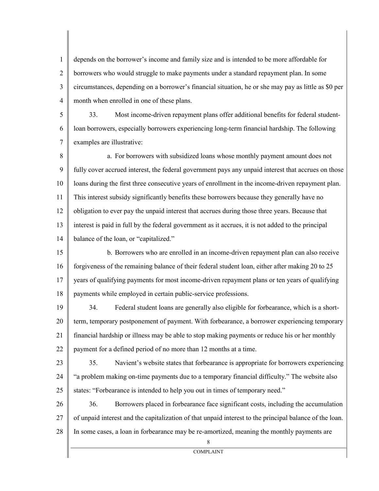1 2 3 4 depends on the borrower's income and family size and is intended to be more affordable for borrowers who would struggle to make payments under a standard repayment plan. In some circumstances, depending on a borrower's financial situation, he or she may pay as little as \$0 per month when enrolled in one of these plans.

5 6 7 33. Most income-driven repayment plans offer additional benefits for federal studentloan borrowers, especially borrowers experiencing long-term financial hardship. The following examples are illustrative:

8 9 10 11 12 13 14 a. For borrowers with subsidized loans whose monthly payment amount does not fully cover accrued interest, the federal government pays any unpaid interest that accrues on those loans during the first three consecutive years of enrollment in the income-driven repayment plan. This interest subsidy significantly benefits these borrowers because they generally have no obligation to ever pay the unpaid interest that accrues during those three years. Because that interest is paid in full by the federal government as it accrues, it is not added to the principal balance of the loan, or "capitalized."

15 16 17 18 b. Borrowers who are enrolled in an income-driven repayment plan can also receive forgiveness of the remaining balance of their federal student loan, either after making 20 to 25 years of qualifying payments for most income-driven repayment plans or ten years of qualifying payments while employed in certain public-service professions.

19 20 21 22 34. Federal student loans are generally also eligible for forbearance, which is a shortterm, temporary postponement of payment. With forbearance, a borrower experiencing temporary financial hardship or illness may be able to stop making payments or reduce his or her monthly payment for a defined period of no more than 12 months at a time.

23 24 25 35. Navient's website states that forbearance is appropriate for borrowers experiencing "a problem making on-time payments due to a temporary financial difficulty." The website also states: "Forbearance is intended to help you out in times of temporary need."

26 27 28 36. Borrowers placed in forbearance face significant costs, including the accumulation of unpaid interest and the capitalization of that unpaid interest to the principal balance of the loan. In some cases, a loan in forbearance may be re-amortized, meaning the monthly payments are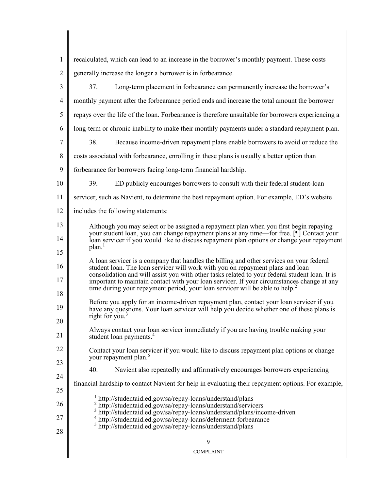| 1              | recalculated, which can lead to an increase in the borrower's monthly payment. These costs                                                                                                                                                                                                                                                                                                                                                                             |  |  |  |  |
|----------------|------------------------------------------------------------------------------------------------------------------------------------------------------------------------------------------------------------------------------------------------------------------------------------------------------------------------------------------------------------------------------------------------------------------------------------------------------------------------|--|--|--|--|
| $\overline{2}$ | generally increase the longer a borrower is in forbearance.                                                                                                                                                                                                                                                                                                                                                                                                            |  |  |  |  |
| 3              | 37.<br>Long-term placement in forbearance can permanently increase the borrower's                                                                                                                                                                                                                                                                                                                                                                                      |  |  |  |  |
| $\overline{4}$ | monthly payment after the forbearance period ends and increase the total amount the borrower                                                                                                                                                                                                                                                                                                                                                                           |  |  |  |  |
| 5              | repays over the life of the loan. Forbearance is therefore unsuitable for borrowers experiencing a                                                                                                                                                                                                                                                                                                                                                                     |  |  |  |  |
| 6              | long-term or chronic inability to make their monthly payments under a standard repayment plan.                                                                                                                                                                                                                                                                                                                                                                         |  |  |  |  |
| 7              | 38.<br>Because income-driven repayment plans enable borrowers to avoid or reduce the                                                                                                                                                                                                                                                                                                                                                                                   |  |  |  |  |
| 8              | costs associated with forbearance, enrolling in these plans is usually a better option than                                                                                                                                                                                                                                                                                                                                                                            |  |  |  |  |
| 9              | forbearance for borrowers facing long-term financial hardship.                                                                                                                                                                                                                                                                                                                                                                                                         |  |  |  |  |
| 10             | 39.<br>ED publicly encourages borrowers to consult with their federal student-loan                                                                                                                                                                                                                                                                                                                                                                                     |  |  |  |  |
| 11             | servicer, such as Navient, to determine the best repayment option. For example, ED's website                                                                                                                                                                                                                                                                                                                                                                           |  |  |  |  |
| 12             | includes the following statements:                                                                                                                                                                                                                                                                                                                                                                                                                                     |  |  |  |  |
| 13             | Although you may select or be assigned a repayment plan when you first begin repaying                                                                                                                                                                                                                                                                                                                                                                                  |  |  |  |  |
| 14             | your student loan, you can change repayment plans at any time—for free. [¶] Contact your<br>loan servicer if you would like to discuss repayment plan options or change your repayment                                                                                                                                                                                                                                                                                 |  |  |  |  |
| 15             | plan. <sup>1</sup>                                                                                                                                                                                                                                                                                                                                                                                                                                                     |  |  |  |  |
| 16<br>17       | A loan servicer is a company that handles the billing and other services on your federal<br>student loan. The loan servicer will work with you on repayment plans and loan<br>consolidation and will assist you with other tasks related to your federal student loan. It is<br>important to maintain contact with your loan servicer. If your circumstances change at any<br>time during your repayment period, your loan servicer will be able to help. <sup>2</sup> |  |  |  |  |
| 18             |                                                                                                                                                                                                                                                                                                                                                                                                                                                                        |  |  |  |  |
| 19             | Before you apply for an income-driven repayment plan, contact your loan servicer if you<br>have any questions. Your loan servicer will help you decide whether one of these plans is<br>right for you. $3$                                                                                                                                                                                                                                                             |  |  |  |  |
| 20<br>21       | Always contact your loan servicer immediately if you are having trouble making your<br>student loan payments. <sup>4</sup>                                                                                                                                                                                                                                                                                                                                             |  |  |  |  |
| 22<br>23       | Contact your loan servicer if you would like to discuss repayment plan options or change<br>your repayment plan. <sup>5</sup>                                                                                                                                                                                                                                                                                                                                          |  |  |  |  |
| 24             | 40.<br>Navient also repeatedly and affirmatively encourages borrowers experiencing                                                                                                                                                                                                                                                                                                                                                                                     |  |  |  |  |
| 25             | financial hardship to contact Navient for help in evaluating their repayment options. For example,                                                                                                                                                                                                                                                                                                                                                                     |  |  |  |  |
| 26<br>27<br>28 | http://studentaid.ed.gov/sa/repay-loans/understand/plans<br><sup>2</sup> http://studentaid.ed.gov/sa/repay-loans/understand/servicers<br><sup>3</sup> http://studentaid.ed.gov/sa/repay-loans/understand/plans/income-driven<br><sup>4</sup> http://studentaid.ed.gov/sa/repay-loans/deferment-forbearance<br><sup>5</sup> http://studentaid.ed.gov/sa/repay-loans/understand/plans                                                                                    |  |  |  |  |
|                | 9                                                                                                                                                                                                                                                                                                                                                                                                                                                                      |  |  |  |  |
|                | <b>COMPLAINT</b>                                                                                                                                                                                                                                                                                                                                                                                                                                                       |  |  |  |  |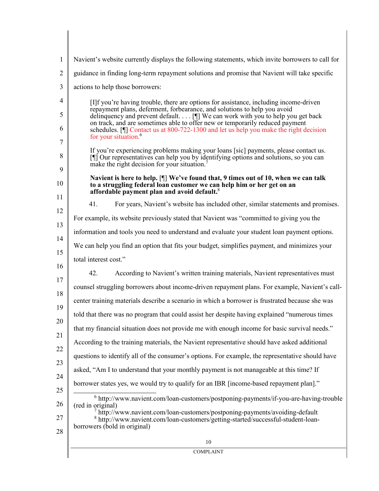|                                                                                                                                                                                                                                           | Navient's website currently displays the following statements, which invite borrowers to call for                                                                                                                                            |  |  |  |  |
|-------------------------------------------------------------------------------------------------------------------------------------------------------------------------------------------------------------------------------------------|----------------------------------------------------------------------------------------------------------------------------------------------------------------------------------------------------------------------------------------------|--|--|--|--|
|                                                                                                                                                                                                                                           | guidance in finding long-term repayment solutions and promise that Navient will take specific                                                                                                                                                |  |  |  |  |
|                                                                                                                                                                                                                                           | actions to help those borrowers:                                                                                                                                                                                                             |  |  |  |  |
| [I]f you're having trouble, there are options for assistance, including income-driven                                                                                                                                                     |                                                                                                                                                                                                                                              |  |  |  |  |
| repayment plans, deferment, forbearance, and solutions to help you avoid<br>delinquency and prevent default. $\ldots$ [ $\parallel$ ] We can work with you to help you get back                                                           |                                                                                                                                                                                                                                              |  |  |  |  |
| on track, and are sometimes able to offer new or temporarily reduced payment<br>schedules. [I] Contact us at 800-722-1300 and let us help you make the right decision<br>for your situation. <sup>6</sup>                                 |                                                                                                                                                                                                                                              |  |  |  |  |
| If you're experiencing problems making your loans [sic] payments, please contact us.<br>[I] Our representatives can help you by identifying options and solutions, so you can<br>make the right decision for your situation. <sup>7</sup> |                                                                                                                                                                                                                                              |  |  |  |  |
|                                                                                                                                                                                                                                           |                                                                                                                                                                                                                                              |  |  |  |  |
|                                                                                                                                                                                                                                           | Navient is here to help. [¶] We've found that, 9 times out of 10, when we can talk<br>to a struggling federal loan customer we can help him or her get on an<br>affordable payment plan and avoid default. <sup>8</sup>                      |  |  |  |  |
|                                                                                                                                                                                                                                           | 41.<br>For years, Navient's website has included other, similar statements and promises.                                                                                                                                                     |  |  |  |  |
|                                                                                                                                                                                                                                           | For example, its website previously stated that Navient was "committed to giving you the                                                                                                                                                     |  |  |  |  |
| information and tools you need to understand and evaluate your student loan payment options.                                                                                                                                              |                                                                                                                                                                                                                                              |  |  |  |  |
|                                                                                                                                                                                                                                           | We can help you find an option that fits your budget, simplifies payment, and minimizes your                                                                                                                                                 |  |  |  |  |
|                                                                                                                                                                                                                                           | total interest cost."                                                                                                                                                                                                                        |  |  |  |  |
|                                                                                                                                                                                                                                           | 42.<br>According to Navient's written training materials, Navient representatives must                                                                                                                                                       |  |  |  |  |
|                                                                                                                                                                                                                                           | counsel struggling borrowers about income-driven repayment plans. For example, Navient's call-                                                                                                                                               |  |  |  |  |
|                                                                                                                                                                                                                                           | center training materials describe a scenario in which a borrower is frustrated because she was                                                                                                                                              |  |  |  |  |
|                                                                                                                                                                                                                                           | told that there was no program that could assist her despite having explained "numerous times"                                                                                                                                               |  |  |  |  |
|                                                                                                                                                                                                                                           | that my financial situation does not provide me with enough income for basic survival needs."                                                                                                                                                |  |  |  |  |
|                                                                                                                                                                                                                                           | According to the training materials, the Navient representative should have asked additional                                                                                                                                                 |  |  |  |  |
|                                                                                                                                                                                                                                           | questions to identify all of the consumer's options. For example, the representative should have                                                                                                                                             |  |  |  |  |
|                                                                                                                                                                                                                                           | asked, "Am I to understand that your monthly payment is not manageable at this time? If                                                                                                                                                      |  |  |  |  |
|                                                                                                                                                                                                                                           | borrower states yes, we would try to qualify for an IBR [income-based repayment plan]."                                                                                                                                                      |  |  |  |  |
|                                                                                                                                                                                                                                           | $6$ http://www.navient.com/loan-customers/postponing-payments/if-you-are-having-trouble                                                                                                                                                      |  |  |  |  |
|                                                                                                                                                                                                                                           | (red in original)<br>$\frac{7}{1}$ http://www.navient.com/loan-customers/postponing-payments/avoiding-default<br><sup>8</sup> http://www.navient.com/loan-customers/getting-started/successful-student-loan-<br>borrowers (bold in original) |  |  |  |  |
|                                                                                                                                                                                                                                           | 10                                                                                                                                                                                                                                           |  |  |  |  |
|                                                                                                                                                                                                                                           | <b>COMPLAINT</b>                                                                                                                                                                                                                             |  |  |  |  |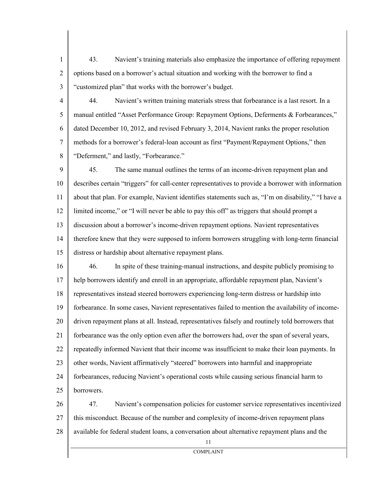43. Navient's training materials also emphasize the importance of offering repayment options based on a borrower's actual situation and working with the borrower to find a "customized plan" that works with the borrower's budget.

1

2

3

4 5 6 7 8 44. Navient's written training materials stress that forbearance is a last resort. In a manual entitled "Asset Performance Group: Repayment Options, Deferments & Forbearances," dated December 10, 2012, and revised February 3, 2014, Navient ranks the proper resolution methods for a borrower's federal-loan account as first "Payment/Repayment Options," then "Deferment," and lastly, "Forbearance."

9 10 11 12 13 14 15 45. The same manual outlines the terms of an income-driven repayment plan and describes certain "triggers" for call-center representatives to provide a borrower with information about that plan. For example, Navient identifies statements such as, "I'm on disability," "I have a limited income," or "I will never be able to pay this off" as triggers that should prompt a discussion about a borrower's income-driven repayment options. Navient representatives therefore knew that they were supposed to inform borrowers struggling with long-term financial distress or hardship about alternative repayment plans.

16 17 18 19 20 21 22 23 24 25 46. In spite of these training-manual instructions, and despite publicly promising to help borrowers identify and enroll in an appropriate, affordable repayment plan, Navient's representatives instead steered borrowers experiencing long-term distress or hardship into forbearance. In some cases, Navient representatives failed to mention the availability of incomedriven repayment plans at all. Instead, representatives falsely and routinely told borrowers that forbearance was the only option even after the borrowers had, over the span of several years, repeatedly informed Navient that their income was insufficient to make their loan payments. In other words, Navient affirmatively "steered" borrowers into harmful and inappropriate forbearances, reducing Navient's operational costs while causing serious financial harm to borrowers.

26 27 28 47. Navient's compensation policies for customer service representatives incentivized this misconduct. Because of the number and complexity of income-driven repayment plans available for federal student loans, a conversation about alternative repayment plans and the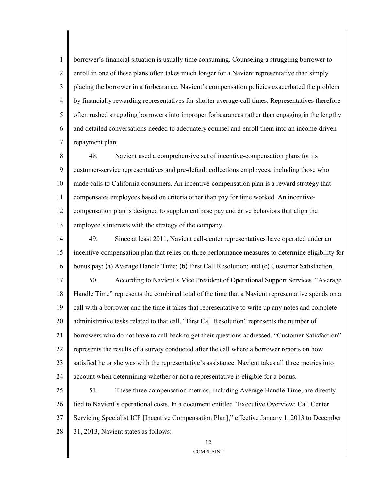1 2 3 4 5 6 7 borrower's financial situation is usually time consuming. Counseling a struggling borrower to enroll in one of these plans often takes much longer for a Navient representative than simply placing the borrower in a forbearance. Navient's compensation policies exacerbated the problem by financially rewarding representatives for shorter average-call times. Representatives therefore often rushed struggling borrowers into improper forbearances rather than engaging in the lengthy and detailed conversations needed to adequately counsel and enroll them into an income-driven repayment plan.

8 9 10 11 12 13 48. Navient used a comprehensive set of incentive-compensation plans for its customer-service representatives and pre-default collections employees, including those who made calls to California consumers. An incentive-compensation plan is a reward strategy that compensates employees based on criteria other than pay for time worked. An incentivecompensation plan is designed to supplement base pay and drive behaviors that align the employee's interests with the strategy of the company.

14 15 16 17 18 49. Since at least 2011, Navient call-center representatives have operated under an incentive-compensation plan that relies on three performance measures to determine eligibility for bonus pay: (a) Average Handle Time; (b) First Call Resolution; and (c) Customer Satisfaction. 50. According to Navient's Vice President of Operational Support Services, "Average Handle Time" represents the combined total of the time that a Navient representative spends on a

19 20 21 22 23 24 call with a borrower and the time it takes that representative to write up any notes and complete administrative tasks related to that call. "First Call Resolution" represents the number of borrowers who do not have to call back to get their questions addressed. "Customer Satisfaction" represents the results of a survey conducted after the call where a borrower reports on how satisfied he or she was with the representative's assistance. Navient takes all three metrics into account when determining whether or not a representative is eligible for a bonus.

25 26 27 28 51. These three compensation metrics, including Average Handle Time, are directly tied to Navient's operational costs. In a document entitled "Executive Overview: Call Center Servicing Specialist ICP [Incentive Compensation Plan]," effective January 1, 2013 to December 31, 2013, Navient states as follows: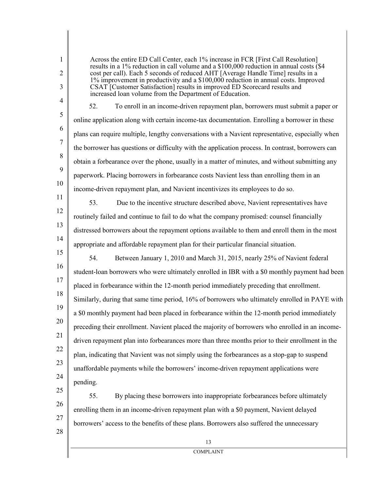1 2

3

Across the entire ED Call Center, each 1% increase in FCR [First Call Resolution] results in a 1% reduction in call volume and a \$100,000 reduction in annual costs (\$4 cost per call). Each 5 seconds of reduced AHT [Average Handle Time] results in a 1% improvement in productivity and a \$100,000 reduction in annual costs. Improved CSAT [Customer Satisfaction] results in improved ED Scorecard results and increased loan volume from the Department of Education.

4 5

6

7

8

9

10

52. To enroll in an income-driven repayment plan, borrowers must submit a paper or online application along with certain income-tax documentation. Enrolling a borrower in these plans can require multiple, lengthy conversations with a Navient representative, especially when the borrower has questions or difficulty with the application process. In contrast, borrowers can obtain a forbearance over the phone, usually in a matter of minutes, and without submitting any paperwork. Placing borrowers in forbearance costs Navient less than enrolling them in an income-driven repayment plan, and Navient incentivizes its employees to do so.

11 12

13

14

53. Due to the incentive structure described above, Navient representatives have routinely failed and continue to fail to do what the company promised: counsel financially distressed borrowers about the repayment options available to them and enroll them in the most appropriate and affordable repayment plan for their particular financial situation.

15 16 17 18 19 20 21 22 23 24 54. Between January 1, 2010 and March 31, 2015, nearly 25% of Navient federal student-loan borrowers who were ultimately enrolled in IBR with a \$0 monthly payment had been placed in forbearance within the 12-month period immediately preceding that enrollment. Similarly, during that same time period, 16% of borrowers who ultimately enrolled in PAYE with a \$0 monthly payment had been placed in forbearance within the 12-month period immediately preceding their enrollment. Navient placed the majority of borrowers who enrolled in an incomedriven repayment plan into forbearances more than three months prior to their enrollment in the plan, indicating that Navient was not simply using the forbearances as a stop-gap to suspend unaffordable payments while the borrowers' income-driven repayment applications were pending.

25 26 27 55. By placing these borrowers into inappropriate forbearances before ultimately enrolling them in an income-driven repayment plan with a \$0 payment, Navient delayed borrowers' access to the benefits of these plans. Borrowers also suffered the unnecessary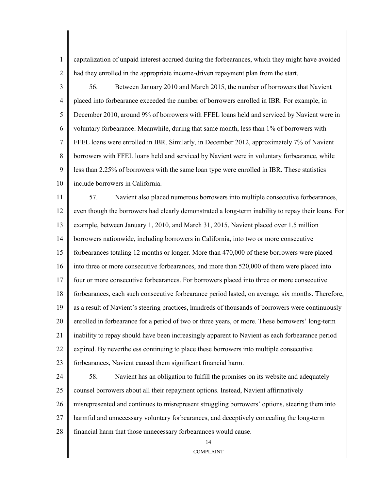capitalization of unpaid interest accrued during the forbearances, which they might have avoided had they enrolled in the appropriate income-driven repayment plan from the start.

1

2

3 4 5 6 7 8 9 10 56. Between January 2010 and March 2015, the number of borrowers that Navient placed into forbearance exceeded the number of borrowers enrolled in IBR. For example, in December 2010, around 9% of borrowers with FFEL loans held and serviced by Navient were in voluntary forbearance. Meanwhile, during that same month, less than 1% of borrowers with FFEL loans were enrolled in IBR. Similarly, in December 2012, approximately 7% of Navient borrowers with FFEL loans held and serviced by Navient were in voluntary forbearance, while less than 2.25% of borrowers with the same loan type were enrolled in IBR. These statistics include borrowers in California.

11 12 13 14 15 16 17 18 19 20 21 22 23 57. Navient also placed numerous borrowers into multiple consecutive forbearances, even though the borrowers had clearly demonstrated a long-term inability to repay their loans. For example, between January 1, 2010, and March 31, 2015, Navient placed over 1.5 million borrowers nationwide, including borrowers in California, into two or more consecutive forbearances totaling 12 months or longer. More than 470,000 of these borrowers were placed into three or more consecutive forbearances, and more than 520,000 of them were placed into four or more consecutive forbearances. For borrowers placed into three or more consecutive forbearances, each such consecutive forbearance period lasted, on average, six months. Therefore, as a result of Navient's steering practices, hundreds of thousands of borrowers were continuously enrolled in forbearance for a period of two or three years, or more. These borrowers' long-term inability to repay should have been increasingly apparent to Navient as each forbearance period expired. By nevertheless continuing to place these borrowers into multiple consecutive forbearances, Navient caused them significant financial harm.

24 25 26 27 28 58. Navient has an obligation to fulfill the promises on its website and adequately counsel borrowers about all their repayment options. Instead, Navient affirmatively misrepresented and continues to misrepresent struggling borrowers' options, steering them into harmful and unnecessary voluntary forbearances, and deceptively concealing the long-term financial harm that those unnecessary forbearances would cause.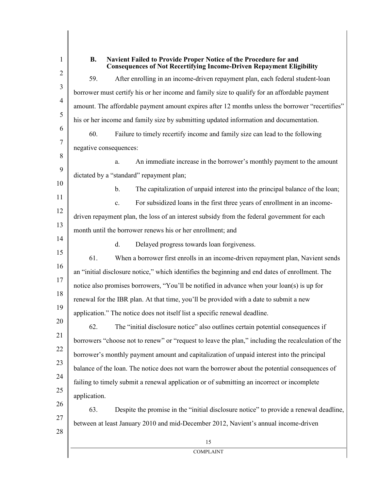1 2 3 4 5 6 7 8 9 10 11 12 13 14 15 16 17 18 19 20 21 22 23 24 25 26 27 28 15 COMPLAINT **B. Navient Failed to Provide Proper Notice of the Procedure for and Consequences of Not Recertifying Income-Driven Repayment Eligibility** 59. After enrolling in an income-driven repayment plan, each federal student-loan borrower must certify his or her income and family size to qualify for an affordable payment amount. The affordable payment amount expires after 12 months unless the borrower "recertifies" his or her income and family size by submitting updated information and documentation. 60. Failure to timely recertify income and family size can lead to the following negative consequences: a. An immediate increase in the borrower's monthly payment to the amount dictated by a "standard" repayment plan; b. The capitalization of unpaid interest into the principal balance of the loan; c. For subsidized loans in the first three years of enrollment in an incomedriven repayment plan, the loss of an interest subsidy from the federal government for each month until the borrower renews his or her enrollment; and d. Delayed progress towards loan forgiveness. 61. When a borrower first enrolls in an income-driven repayment plan, Navient sends an "initial disclosure notice," which identifies the beginning and end dates of enrollment. The notice also promises borrowers, "You'll be notified in advance when your loan(s) is up for renewal for the IBR plan. At that time, you'll be provided with a date to submit a new application." The notice does not itself list a specific renewal deadline. 62. The "initial disclosure notice" also outlines certain potential consequences if borrowers "choose not to renew" or "request to leave the plan," including the recalculation of the borrower's monthly payment amount and capitalization of unpaid interest into the principal balance of the loan. The notice does not warn the borrower about the potential consequences of failing to timely submit a renewal application or of submitting an incorrect or incomplete application. 63. Despite the promise in the "initial disclosure notice" to provide a renewal deadline, between at least January 2010 and mid-December 2012, Navient's annual income-driven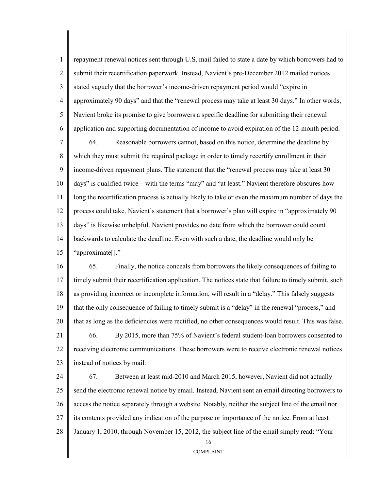1 2 3 4 5 6 repayment renewal notices sent through U.S. mail failed to state a date by which borrowers had to submit their recertification paperwork. Instead, Navient's pre-December 2012 mailed notices stated vaguely that the borrower's income-driven repayment period would "expire in approximately 90 days" and that the "renewal process may take at least 30 days." In other words, Navient broke its promise to give borrowers a specific deadline for submitting their renewal application and supporting documentation of income to avoid expiration of the 12-month period.

7 8 9 10 11 12 13 14 15 64. Reasonable borrowers cannot, based on this notice, determine the deadline by which they must submit the required package in order to timely recertify enrollment in their income-driven repayment plans. The statement that the "renewal process may take at least 30 days" is qualified twice—with the terms "may" and "at least." Navient therefore obscures how long the recertification process is actually likely to take or even the maximum number of days the process could take. Navient's statement that a borrower's plan will expire in "approximately 90 days" is likewise unhelpful. Navient provides no date from which the borrower could count backwards to calculate the deadline. Even with such a date, the deadline would only be "approximate[]."

16 17 18 19 20 21 22 23 65. Finally, the notice conceals from borrowers the likely consequences of failing to timely submit their recertification application. The notices state that failure to timely submit, such as providing incorrect or incomplete information, will result in a "delay." This falsely suggests that the only consequence of failing to timely submit is a "delay" in the renewal "process," and that as long as the deficiencies were rectified, no other consequences would result. This was false. 66. By 2015, more than 75% of Navient's federal student-loan borrowers consented to receiving electronic communications. These borrowers were to receive electronic renewal notices instead of notices by mail.

24 25 26 27 28 67. Between at least mid-2010 and March 2015, however, Navient did not actually send the electronic renewal notice by email. Instead, Navient sent an email directing borrowers to access the notice separately through a website. Notably, neither the subject line of the email nor its contents provided any indication of the purpose or importance of the notice. From at least January 1, 2010, through November 15, 2012, the subject line of the email simply read: "Your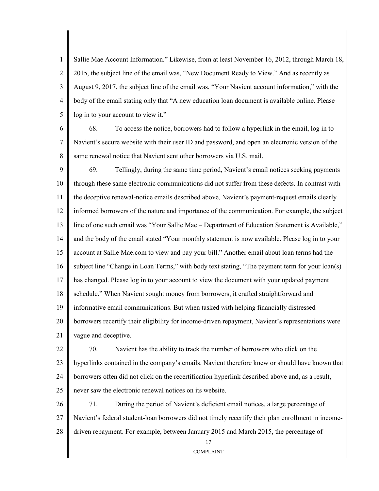1 2 3 4 5 Sallie Mae Account Information." Likewise, from at least November 16, 2012, through March 18, 2015, the subject line of the email was, "New Document Ready to View." And as recently as August 9, 2017, the subject line of the email was, "Your Navient account information," with the body of the email stating only that "A new education loan document is available online. Please log in to your account to view it."

6

7

8

68. To access the notice, borrowers had to follow a hyperlink in the email, log in to Navient's secure website with their user ID and password, and open an electronic version of the same renewal notice that Navient sent other borrowers via U.S. mail.

9 10 11 12 13 14 15 16 17 18 19 20 21 69. Tellingly, during the same time period, Navient's email notices seeking payments through these same electronic communications did not suffer from these defects. In contrast with the deceptive renewal-notice emails described above, Navient's payment-request emails clearly informed borrowers of the nature and importance of the communication. For example, the subject line of one such email was "Your Sallie Mae – Department of Education Statement is Available," and the body of the email stated "Your monthly statement is now available. Please log in to your account at Sallie Mae.com to view and pay your bill." Another email about loan terms had the subject line "Change in Loan Terms," with body text stating, "The payment term for your loan(s) has changed. Please log in to your account to view the document with your updated payment schedule." When Navient sought money from borrowers, it crafted straightforward and informative email communications. But when tasked with helping financially distressed borrowers recertify their eligibility for income-driven repayment, Navient's representations were vague and deceptive.

- 22 23 24 25 70. Navient has the ability to track the number of borrowers who click on the hyperlinks contained in the company's emails. Navient therefore knew or should have known that borrowers often did not click on the recertification hyperlink described above and, as a result, never saw the electronic renewal notices on its website.
- 26 27 28 71. During the period of Navient's deficient email notices, a large percentage of Navient's federal student-loan borrowers did not timely recertify their plan enrollment in incomedriven repayment. For example, between January 2015 and March 2015, the percentage of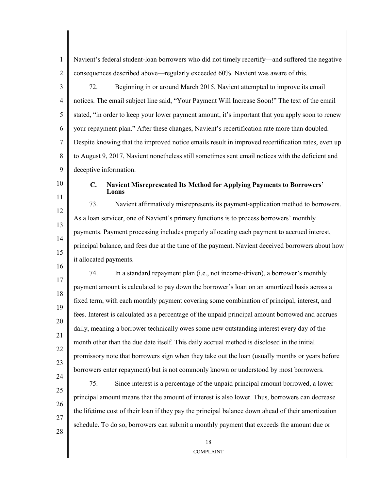Navient's federal student-loan borrowers who did not timely recertify—and suffered the negative consequences described above—regularly exceeded 60%. Navient was aware of this.

3 4 5 6 7 8 9 72. Beginning in or around March 2015, Navient attempted to improve its email notices. The email subject line said, "Your Payment Will Increase Soon!" The text of the email stated, "in order to keep your lower payment amount, it's important that you apply soon to renew your repayment plan." After these changes, Navient's recertification rate more than doubled. Despite knowing that the improved notice emails result in improved recertification rates, even up to August 9, 2017, Navient nonetheless still sometimes sent email notices with the deficient and deceptive information.

10 11

16

1

2

#### **C. Navient Misrepresented Its Method for Applying Payments to Borrowers' Loans**

12 13 14 15 73. Navient affirmatively misrepresents its payment-application method to borrowers. As a loan servicer, one of Navient's primary functions is to process borrowers' monthly payments. Payment processing includes properly allocating each payment to accrued interest, principal balance, and fees due at the time of the payment. Navient deceived borrowers about how it allocated payments.

17 18 19 20 21 22 23 74. In a standard repayment plan (i.e., not income-driven), a borrower's monthly payment amount is calculated to pay down the borrower's loan on an amortized basis across a fixed term, with each monthly payment covering some combination of principal, interest, and fees. Interest is calculated as a percentage of the unpaid principal amount borrowed and accrues daily, meaning a borrower technically owes some new outstanding interest every day of the month other than the due date itself. This daily accrual method is disclosed in the initial promissory note that borrowers sign when they take out the loan (usually months or years before borrowers enter repayment) but is not commonly known or understood by most borrowers.

24 25 26 27 75. Since interest is a percentage of the unpaid principal amount borrowed, a lower principal amount means that the amount of interest is also lower. Thus, borrowers can decrease the lifetime cost of their loan if they pay the principal balance down ahead of their amortization schedule. To do so, borrowers can submit a monthly payment that exceeds the amount due or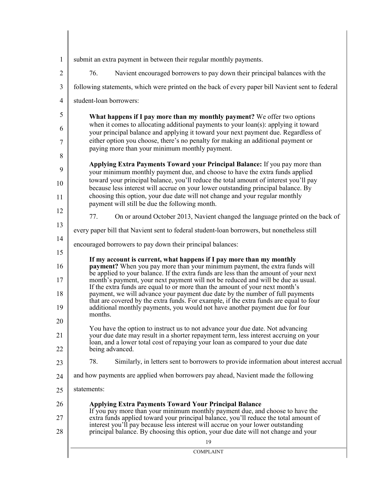| $\mathbf{1}$   | submit an extra payment in between their regular monthly payments.                                                                                                                                                                                            |  |  |  |  |
|----------------|---------------------------------------------------------------------------------------------------------------------------------------------------------------------------------------------------------------------------------------------------------------|--|--|--|--|
| $\overline{2}$ | Navient encouraged borrowers to pay down their principal balances with the<br>76.                                                                                                                                                                             |  |  |  |  |
| 3              | following statements, which were printed on the back of every paper bill Navient sent to federal                                                                                                                                                              |  |  |  |  |
| 4              | student-loan borrowers:                                                                                                                                                                                                                                       |  |  |  |  |
| 5              | What happens if I pay more than my monthly payment? We offer two options                                                                                                                                                                                      |  |  |  |  |
| 6              | when it comes to allocating additional payments to your loan(s): applying it toward<br>your principal balance and applying it toward your next payment due. Regardless of<br>either option you choose, there's no penalty for making an additional payment or |  |  |  |  |
| 7<br>8         | paying more than your minimum monthly payment.                                                                                                                                                                                                                |  |  |  |  |
| 9              | Applying Extra Payments Toward your Principal Balance: If you pay more than<br>your minimum monthly payment due, and choose to have the extra funds applied                                                                                                   |  |  |  |  |
| 10             | toward your principal balance, you'll reduce the total amount of interest you'll pay<br>because less interest will accrue on your lower outstanding principal balance. By                                                                                     |  |  |  |  |
| 11             | choosing this option, your due date will not change and your regular monthly<br>payment will still be due the following month.                                                                                                                                |  |  |  |  |
| 12             | 77.<br>On or around October 2013, Navient changed the language printed on the back of                                                                                                                                                                         |  |  |  |  |
| 13             | every paper bill that Navient sent to federal student-loan borrowers, but nonetheless still                                                                                                                                                                   |  |  |  |  |
| 14<br>15       | encouraged borrowers to pay down their principal balances:                                                                                                                                                                                                    |  |  |  |  |
| 16             | If my account is current, what happens if I pay more than my monthly<br>payment? When you pay more than your minimum payment, the extra funds will                                                                                                            |  |  |  |  |
| 17             | be applied to your balance. If the extra funds are less than the amount of your next<br>month's payment, your next payment will not be reduced and will be due as usual.<br>If the extra funds are equal to or more than the amount of your next month's      |  |  |  |  |
| 18             | payment, we will advance your payment due date by the number of full payments<br>that are covered by the extra funds. For example, if the extra funds are equal to four                                                                                       |  |  |  |  |
| 19<br>20       | additional monthly payments, you would not have another payment due for four<br>months.                                                                                                                                                                       |  |  |  |  |
| 21             | You have the option to instruct us to not advance your due date. Not advancing<br>your due date may result in a shorter repayment term, less interest accruing on your                                                                                        |  |  |  |  |
| 22             | loan, and a lower total cost of repaying your loan as compared to your due date<br>being advanced.                                                                                                                                                            |  |  |  |  |
| 23             | 78.<br>Similarly, in letters sent to borrowers to provide information about interest accrual                                                                                                                                                                  |  |  |  |  |
| 24             | and how payments are applied when borrowers pay ahead, Navient made the following                                                                                                                                                                             |  |  |  |  |
| 25             | statements:                                                                                                                                                                                                                                                   |  |  |  |  |
| 26<br>27       | <b>Applying Extra Payments Toward Your Principal Balance</b><br>If you pay more than your minimum monthly payment due, and choose to have the<br>extra funds applied toward your principal balance, you'll reduce the total amount of                         |  |  |  |  |
| 28             | interest you'll pay because less interest will accrue on your lower outstanding<br>principal balance. By choosing this option, your due date will not change and your                                                                                         |  |  |  |  |
|                | 19                                                                                                                                                                                                                                                            |  |  |  |  |
|                | <b>COMPLAINT</b>                                                                                                                                                                                                                                              |  |  |  |  |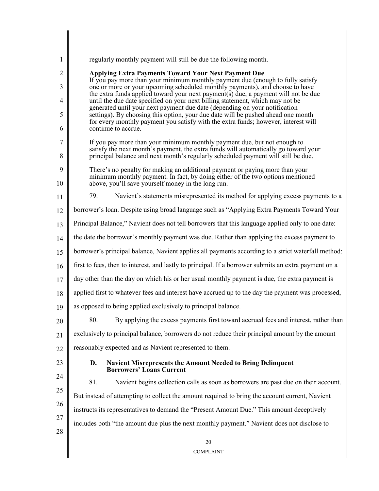| 1              | regularly monthly payment will still be due the following month.                                                                                                         |  |  |  |  |  |
|----------------|--------------------------------------------------------------------------------------------------------------------------------------------------------------------------|--|--|--|--|--|
| $\overline{2}$ | <b>Applying Extra Payments Toward Your Next Payment Due</b>                                                                                                              |  |  |  |  |  |
| 3              | If you pay more than your minimum monthly payment due (enough to fully satisfy<br>one or more or your upcoming scheduled monthly payments), and choose to have           |  |  |  |  |  |
| 4              | the extra funds applied toward your next payment(s) due, a payment will not be due<br>until the due date specified on your next billing statement, which may not be      |  |  |  |  |  |
| 5              | generated until your next payment due date (depending on your notification<br>settings). By choosing this option, your due date will be pushed ahead one month           |  |  |  |  |  |
| 6              | for every monthly payment you satisfy with the extra funds; however, interest will<br>continue to accrue.                                                                |  |  |  |  |  |
| 7              | If you pay more than your minimum monthly payment due, but not enough to                                                                                                 |  |  |  |  |  |
| 8              | satisfy the next month's payment, the extra funds will automatically go toward your<br>principal balance and next month's regularly scheduled payment will still be due. |  |  |  |  |  |
| 9              | There's no penalty for making an additional payment or paying more than your<br>minimum monthly payment. In fact, by doing either of the two options mentioned           |  |  |  |  |  |
| 10             | above, you'll save yourself money in the long run.                                                                                                                       |  |  |  |  |  |
| 11             | 79.<br>Navient's statements misrepresented its method for applying excess payments to a                                                                                  |  |  |  |  |  |
| 12             | borrower's loan. Despite using broad language such as "Applying Extra Payments Toward Your                                                                               |  |  |  |  |  |
| 13             | Principal Balance," Navient does not tell borrowers that this language applied only to one date:                                                                         |  |  |  |  |  |
| 14             | the date the borrower's monthly payment was due. Rather than applying the excess payment to                                                                              |  |  |  |  |  |
| 15             | borrower's principal balance, Navient applies all payments according to a strict waterfall method:                                                                       |  |  |  |  |  |
| 16             | first to fees, then to interest, and lastly to principal. If a borrower submits an extra payment on a                                                                    |  |  |  |  |  |
| 17             | day other than the day on which his or her usual monthly payment is due, the extra payment is                                                                            |  |  |  |  |  |
| 18             | applied first to whatever fees and interest have accrued up to the day the payment was processed,                                                                        |  |  |  |  |  |
| 19             | as opposed to being applied exclusively to principal balance.                                                                                                            |  |  |  |  |  |
| 20             | By applying the excess payments first toward accrued fees and interest, rather than<br>80.                                                                               |  |  |  |  |  |
| 21             | exclusively to principal balance, borrowers do not reduce their principal amount by the amount                                                                           |  |  |  |  |  |
| 22             | reasonably expected and as Navient represented to them.                                                                                                                  |  |  |  |  |  |
| 23             | Navient Misrepresents the Amount Needed to Bring Delinquent<br>D.<br><b>Borrowers' Loans Current</b>                                                                     |  |  |  |  |  |
| 24             | Navient begins collection calls as soon as borrowers are past due on their account.<br>81.                                                                               |  |  |  |  |  |
| 25             | But instead of attempting to collect the amount required to bring the account current, Navient                                                                           |  |  |  |  |  |
| 26             | instructs its representatives to demand the "Present Amount Due." This amount deceptively                                                                                |  |  |  |  |  |
| 27             | includes both "the amount due plus the next monthly payment." Navient does not disclose to                                                                               |  |  |  |  |  |
| 28             | 20                                                                                                                                                                       |  |  |  |  |  |
|                | <b>COMPLAINT</b>                                                                                                                                                         |  |  |  |  |  |
|                |                                                                                                                                                                          |  |  |  |  |  |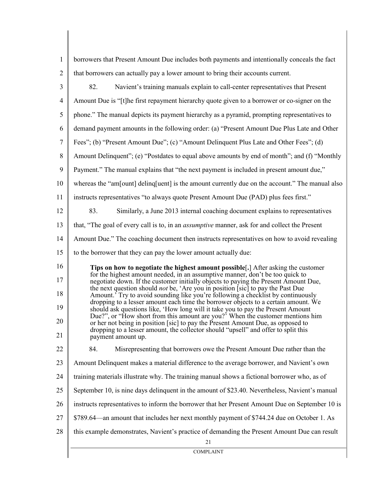| $\mathbf{1}$         | borrowers that Present Amount Due includes both payments and intentionally conceals the fact                                                                                                                                                                                                                                                                                                                                                                                                                                                                                                                                                                                                                   |
|----------------------|----------------------------------------------------------------------------------------------------------------------------------------------------------------------------------------------------------------------------------------------------------------------------------------------------------------------------------------------------------------------------------------------------------------------------------------------------------------------------------------------------------------------------------------------------------------------------------------------------------------------------------------------------------------------------------------------------------------|
| $\overline{2}$       | that borrowers can actually pay a lower amount to bring their accounts current.                                                                                                                                                                                                                                                                                                                                                                                                                                                                                                                                                                                                                                |
| 3                    | 82.<br>Navient's training manuals explain to call-center representatives that Present                                                                                                                                                                                                                                                                                                                                                                                                                                                                                                                                                                                                                          |
| $\overline{4}$       | Amount Due is "[t]he first repayment hierarchy quote given to a borrower or co-signer on the                                                                                                                                                                                                                                                                                                                                                                                                                                                                                                                                                                                                                   |
| 5                    | phone." The manual depicts its payment hierarchy as a pyramid, prompting representatives to                                                                                                                                                                                                                                                                                                                                                                                                                                                                                                                                                                                                                    |
| 6                    | demand payment amounts in the following order: (a) "Present Amount Due Plus Late and Other                                                                                                                                                                                                                                                                                                                                                                                                                                                                                                                                                                                                                     |
| 7                    | Fees"; (b) "Present Amount Due"; (c) "Amount Delinquent Plus Late and Other Fees"; (d)                                                                                                                                                                                                                                                                                                                                                                                                                                                                                                                                                                                                                         |
| 8                    | Amount Delinquent"; (e) "Postdates to equal above amounts by end of month"; and (f) "Monthly                                                                                                                                                                                                                                                                                                                                                                                                                                                                                                                                                                                                                   |
| 9                    | Payment." The manual explains that "the next payment is included in present amount due,"                                                                                                                                                                                                                                                                                                                                                                                                                                                                                                                                                                                                                       |
| 10                   | whereas the "am[ount] deling [uent] is the amount currently due on the account." The manual also                                                                                                                                                                                                                                                                                                                                                                                                                                                                                                                                                                                                               |
| 11                   | instructs representatives "to always quote Present Amount Due (PAD) plus fees first."                                                                                                                                                                                                                                                                                                                                                                                                                                                                                                                                                                                                                          |
| 12                   | 83.<br>Similarly, a June 2013 internal coaching document explains to representatives                                                                                                                                                                                                                                                                                                                                                                                                                                                                                                                                                                                                                           |
| 13                   | that, "The goal of every call is to, in an <i>assumptive</i> manner, ask for and collect the Present                                                                                                                                                                                                                                                                                                                                                                                                                                                                                                                                                                                                           |
| 14                   | Amount Due." The coaching document then instructs representatives on how to avoid revealing                                                                                                                                                                                                                                                                                                                                                                                                                                                                                                                                                                                                                    |
| 15                   | to the borrower that they can pay the lower amount actually due:                                                                                                                                                                                                                                                                                                                                                                                                                                                                                                                                                                                                                                               |
| 16<br>17<br>18<br>19 | Tips on how to negotiate the highest amount possible[.] After asking the customer<br>for the highest amount needed, in an assumptive manner, don't be too quick to<br>negotiate down. If the customer initially objects to paying the Present Amount Due,<br>the next question should <i>not</i> be, 'Are you in position [sic] to pay the Past Due<br>Amount. <sup>5</sup> Try to avoid sounding like you're following a checklist by continuously<br>dropping to a lesser amount each time the borrower objects to a certain amount. We<br>should ask questions like, 'How long will it take you to pay the Present Amount<br>Due?", or "How short from this amount are you?" When the customer mentions him |
| 20<br>21             | or her not being in position [sic] to pay the Present Amount Due, as opposed to<br>dropping to a lesser amount, the collector should "upsell" and offer to split this<br>payment amount up.                                                                                                                                                                                                                                                                                                                                                                                                                                                                                                                    |
| 22                   | 84.<br>Misrepresenting that borrowers owe the Present Amount Due rather than the                                                                                                                                                                                                                                                                                                                                                                                                                                                                                                                                                                                                                               |
| 23                   | Amount Delinquent makes a material difference to the average borrower, and Navient's own                                                                                                                                                                                                                                                                                                                                                                                                                                                                                                                                                                                                                       |
| 24                   | training materials illustrate why. The training manual shows a fictional borrower who, as of                                                                                                                                                                                                                                                                                                                                                                                                                                                                                                                                                                                                                   |
| 25                   | September 10, is nine days delinquent in the amount of \$23.40. Nevertheless, Navient's manual                                                                                                                                                                                                                                                                                                                                                                                                                                                                                                                                                                                                                 |
| 26                   | instructs representatives to inform the borrower that her Present Amount Due on September 10 is                                                                                                                                                                                                                                                                                                                                                                                                                                                                                                                                                                                                                |
| 27                   | \$789.64—an amount that includes her next monthly payment of \$744.24 due on October 1. As                                                                                                                                                                                                                                                                                                                                                                                                                                                                                                                                                                                                                     |
| 28                   | this example demonstrates, Navient's practice of demanding the Present Amount Due can result<br>21                                                                                                                                                                                                                                                                                                                                                                                                                                                                                                                                                                                                             |
|                      | <b>COMPLAINT</b>                                                                                                                                                                                                                                                                                                                                                                                                                                                                                                                                                                                                                                                                                               |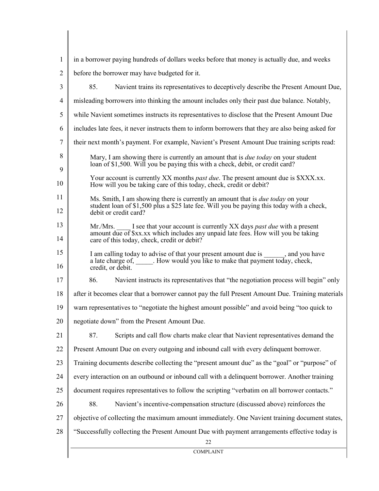| 1              | in a borrower paying hundreds of dollars weeks before that money is actually due, and weeks                                                                                                                                 |  |  |  |
|----------------|-----------------------------------------------------------------------------------------------------------------------------------------------------------------------------------------------------------------------------|--|--|--|
| $\overline{2}$ | before the borrower may have budgeted for it.                                                                                                                                                                               |  |  |  |
| 3              | 85.<br>Navient trains its representatives to deceptively describe the Present Amount Due,                                                                                                                                   |  |  |  |
| 4              | misleading borrowers into thinking the amount includes only their past due balance. Notably,                                                                                                                                |  |  |  |
| 5              | while Navient sometimes instructs its representatives to disclose that the Present Amount Due                                                                                                                               |  |  |  |
| 6              | includes late fees, it never instructs them to inform borrowers that they are also being asked for                                                                                                                          |  |  |  |
| $\tau$         | their next month's payment. For example, Navient's Present Amount Due training scripts read:                                                                                                                                |  |  |  |
| 8<br>9         | Mary, I am showing there is currently an amount that is <i>due today</i> on your student<br>loan of \$1,500. Will you be paying this with a check, debit, or credit card?                                                   |  |  |  |
| 10             | Your account is currently XX months <i>past due</i> . The present amount due is \$XXX.xx.<br>How will you be taking care of this today, check, credit or debit?                                                             |  |  |  |
| 11<br>12       | Ms. Smith, I am showing there is currently an amount that is <i>due today</i> on your<br>student loan of \$1,500 plus a \$25 late fee. Will you be paying this today with a check,<br>debit or credit card?                 |  |  |  |
| 13<br>14       | I see that your account is currently XX days <i>past due</i> with a present<br>Mr./Mrs.<br>amount due of \$xx.xx which includes any unpaid late fees. How will you be taking<br>care of this today, check, credit or debit? |  |  |  |
| 15<br>16       | I am calling today to advise of that your present amount due is , and you have<br>a late charge of, ______. How would you like to make that payment today, check,<br>credit, or debit.                                      |  |  |  |
| 17             | 86.<br>Navient instructs its representatives that "the negotiation process will begin" only                                                                                                                                 |  |  |  |
| 18             | after it becomes clear that a borrower cannot pay the full Present Amount Due. Training materials                                                                                                                           |  |  |  |
| 19             | warn representatives to "negotiate the highest amount possible" and avoid being "too quick to                                                                                                                               |  |  |  |
| 20             | negotiate down" from the Present Amount Due.                                                                                                                                                                                |  |  |  |
| 21             | 87.<br>Scripts and call flow charts make clear that Navient representatives demand the                                                                                                                                      |  |  |  |
| 22             | Present Amount Due on every outgoing and inbound call with every delinquent borrower.                                                                                                                                       |  |  |  |
| 23             | Training documents describe collecting the "present amount due" as the "goal" or "purpose" of                                                                                                                               |  |  |  |
| 24             | every interaction on an outbound or inbound call with a delinquent borrower. Another training                                                                                                                               |  |  |  |
| 25             | document requires representatives to follow the scripting "verbatim on all borrower contacts."                                                                                                                              |  |  |  |
| 26             | 88.<br>Navient's incentive-compensation structure (discussed above) reinforces the                                                                                                                                          |  |  |  |
| 27             | objective of collecting the maximum amount immediately. One Navient training document states,                                                                                                                               |  |  |  |
| 28             | "Successfully collecting the Present Amount Due with payment arrangements effective today is<br>22                                                                                                                          |  |  |  |
|                | <b>COMPLAINT</b>                                                                                                                                                                                                            |  |  |  |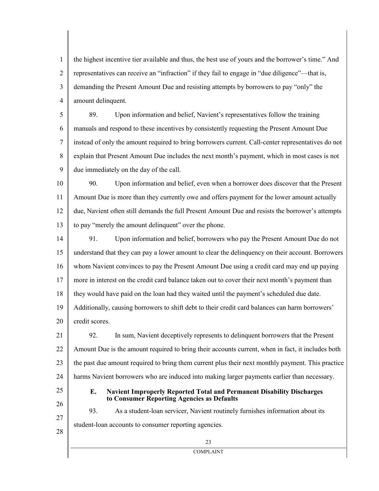1 2 3 4 the highest incentive tier available and thus, the best use of yours and the borrower's time." And representatives can receive an "infraction" if they fail to engage in "due diligence"—that is, demanding the Present Amount Due and resisting attempts by borrowers to pay "only" the amount delinquent.

5 6 7 8 9 89. Upon information and belief, Navient's representatives follow the training manuals and respond to these incentives by consistently requesting the Present Amount Due instead of only the amount required to bring borrowers current. Call-center representatives do not explain that Present Amount Due includes the next month's payment, which in most cases is not due immediately on the day of the call.

10 11 12 13 90. Upon information and belief, even when a borrower does discover that the Present Amount Due is more than they currently owe and offers payment for the lower amount actually due, Navient often still demands the full Present Amount Due and resists the borrower's attempts to pay "merely the amount delinquent" over the phone.

14 15 16 17 18 19 20 91. Upon information and belief, borrowers who pay the Present Amount Due do not understand that they can pay a lower amount to clear the delinquency on their account. Borrowers whom Navient convinces to pay the Present Amount Due using a credit card may end up paying more in interest on the credit card balance taken out to cover their next month's payment than they would have paid on the loan had they waited until the payment's scheduled due date. Additionally, causing borrowers to shift debt to their credit card balances can harm borrowers' credit scores.

21 22 23 24 92. In sum, Navient deceptively represents to delinquent borrowers that the Present Amount Due is the amount required to bring their accounts current, when in fact, it includes both the past due amount required to bring them current plus their next monthly payment. This practice harms Navient borrowers who are induced into making larger payments earlier than necessary.

25 26

27

28

### **E. Navient Improperly Reported Total and Permanent Disability Discharges to Consumer Reporting Agencies as Defaults**

93. As a student-loan servicer, Navient routinely furnishes information about its student-loan accounts to consumer reporting agencies.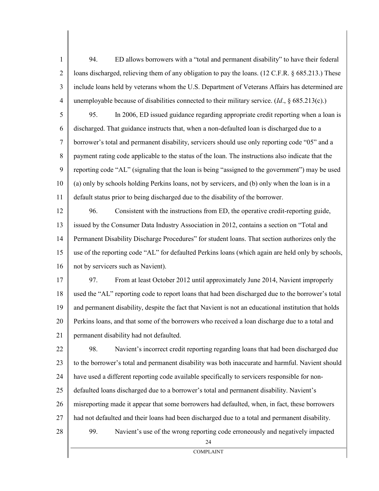| $\mathbf{1}$   | 94.<br>ED allows borrowers with a "total and permanent disability" to have their federal             |  |  |  |  |
|----------------|------------------------------------------------------------------------------------------------------|--|--|--|--|
| $\overline{2}$ | loans discharged, relieving them of any obligation to pay the loans. (12 C.F.R. § 685.213.) These    |  |  |  |  |
| 3              | include loans held by veterans whom the U.S. Department of Veterans Affairs has determined are       |  |  |  |  |
| $\overline{4}$ | unemployable because of disabilities connected to their military service. $(Id, § 685.213(c).)$      |  |  |  |  |
| 5              | In 2006, ED issued guidance regarding appropriate credit reporting when a loan is<br>95.             |  |  |  |  |
| 6              | discharged. That guidance instructs that, when a non-defaulted loan is discharged due to a           |  |  |  |  |
| $\tau$         | borrower's total and permanent disability, servicers should use only reporting code "05" and a       |  |  |  |  |
| $\,8\,$        | payment rating code applicable to the status of the loan. The instructions also indicate that the    |  |  |  |  |
| 9              | reporting code "AL" (signaling that the loan is being "assigned to the government") may be used      |  |  |  |  |
| 10             | (a) only by schools holding Perkins loans, not by servicers, and (b) only when the loan is in a      |  |  |  |  |
| 11             | default status prior to being discharged due to the disability of the borrower.                      |  |  |  |  |
| 12             | 96.<br>Consistent with the instructions from ED, the operative credit-reporting guide,               |  |  |  |  |
| 13             | issued by the Consumer Data Industry Association in 2012, contains a section on "Total and           |  |  |  |  |
| 14             | Permanent Disability Discharge Procedures" for student loans. That section authorizes only the       |  |  |  |  |
| 15             | use of the reporting code "AL" for defaulted Perkins loans (which again are held only by schools,    |  |  |  |  |
| 16             | not by servicers such as Navient).                                                                   |  |  |  |  |
| 17             | From at least October 2012 until approximately June 2014, Navient improperly<br>97.                  |  |  |  |  |
| 18             | used the "AL" reporting code to report loans that had been discharged due to the borrower's total    |  |  |  |  |
| 19             | and permanent disability, despite the fact that Navient is not an educational institution that holds |  |  |  |  |
| 20             | Perkins loans, and that some of the borrowers who received a loan discharge due to a total and       |  |  |  |  |
| 21             | permanent disability had not defaulted.                                                              |  |  |  |  |
| 22             | 98.<br>Navient's incorrect credit reporting regarding loans that had been discharged due             |  |  |  |  |
| 23             | to the borrower's total and permanent disability was both inaccurate and harmful. Navient should     |  |  |  |  |
| 24             | have used a different reporting code available specifically to servicers responsible for non-        |  |  |  |  |
| 25             | defaulted loans discharged due to a borrower's total and permanent disability. Navient's             |  |  |  |  |
| 26             | misreporting made it appear that some borrowers had defaulted, when, in fact, these borrowers        |  |  |  |  |
| 27             | had not defaulted and their loans had been discharged due to a total and permanent disability.       |  |  |  |  |
| 28             | 99.<br>Navient's use of the wrong reporting code erroneously and negatively impacted<br>24           |  |  |  |  |
|                | <b>COMPLAINT</b>                                                                                     |  |  |  |  |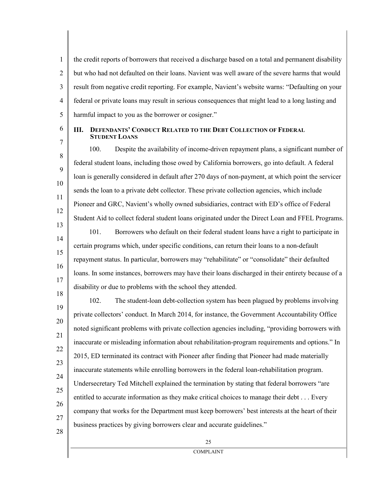2 3 4 5 the credit reports of borrowers that received a discharge based on a total and permanent disability but who had not defaulted on their loans. Navient was well aware of the severe harms that would result from negative credit reporting. For example, Navient's website warns: "Defaulting on your federal or private loans may result in serious consequences that might lead to a long lasting and harmful impact to you as the borrower or cosigner."

6 7

8

9

10

11

12

1

### **III. DEFENDANTS' CONDUCT RELATED TO THE DEBT COLLECTION OF FEDERAL STUDENT LOANS**

100. Despite the availability of income-driven repayment plans, a significant number of federal student loans, including those owed by California borrowers, go into default. A federal loan is generally considered in default after 270 days of non-payment, at which point the servicer sends the loan to a private debt collector. These private collection agencies, which include Pioneer and GRC, Navient's wholly owned subsidiaries, contract with ED's office of Federal Student Aid to collect federal student loans originated under the Direct Loan and FFEL Programs.

13 14 15 16 17 18 101. Borrowers who default on their federal student loans have a right to participate in certain programs which, under specific conditions, can return their loans to a non-default repayment status. In particular, borrowers may "rehabilitate" or "consolidate" their defaulted loans. In some instances, borrowers may have their loans discharged in their entirety because of a disability or due to problems with the school they attended.

19 20 21 22 23 24 25 26 27 102. The student-loan debt-collection system has been plagued by problems involving private collectors' conduct. In March 2014, for instance, the Government Accountability Office noted significant problems with private collection agencies including, "providing borrowers with inaccurate or misleading information about rehabilitation-program requirements and options." In 2015, ED terminated its contract with Pioneer after finding that Pioneer had made materially inaccurate statements while enrolling borrowers in the federal loan-rehabilitation program. Undersecretary Ted Mitchell explained the termination by stating that federal borrowers "are entitled to accurate information as they make critical choices to manage their debt . . . Every company that works for the Department must keep borrowers' best interests at the heart of their business practices by giving borrowers clear and accurate guidelines."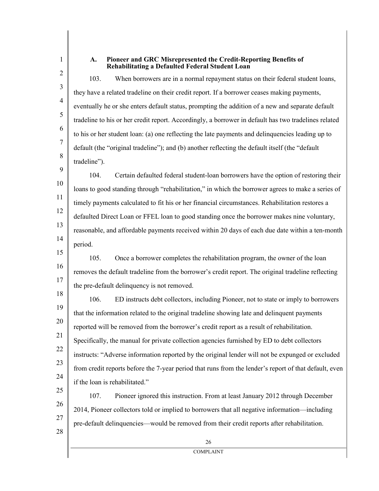### **A. Pioneer and GRC Misrepresented the Credit-Reporting Benefits of Rehabilitating a Defaulted Federal Student Loan**

103. When borrowers are in a normal repayment status on their federal student loans, they have a related tradeline on their credit report. If a borrower ceases making payments, eventually he or she enters default status, prompting the addition of a new and separate default tradeline to his or her credit report. Accordingly, a borrower in default has two tradelines related to his or her student loan: (a) one reflecting the late payments and delinquencies leading up to default (the "original tradeline"); and (b) another reflecting the default itself (the "default tradeline").

9 10 11 14 104. Certain defaulted federal student-loan borrowers have the option of restoring their loans to good standing through "rehabilitation," in which the borrower agrees to make a series of timely payments calculated to fit his or her financial circumstances. Rehabilitation restores a defaulted Direct Loan or FFEL loan to good standing once the borrower makes nine voluntary, reasonable, and affordable payments received within 20 days of each due date within a ten-month period.

16 17 105. Once a borrower completes the rehabilitation program, the owner of the loan removes the default tradeline from the borrower's credit report. The original tradeline reflecting the pre-default delinquency is not removed.

19 20 21 22 23 25 106. ED instructs debt collectors, including Pioneer, not to state or imply to borrowers that the information related to the original tradeline showing late and delinquent payments reported will be removed from the borrower's credit report as a result of rehabilitation. Specifically, the manual for private collection agencies furnished by ED to debt collectors instructs: "Adverse information reported by the original lender will not be expunged or excluded from credit reports before the 7-year period that runs from the lender's report of that default, even if the loan is rehabilitated."

107. Pioneer ignored this instruction. From at least January 2012 through December 2014, Pioneer collectors told or implied to borrowers that all negative information—including pre-default delinquencies—would be removed from their credit reports after rehabilitation.

- 
- 12

1

2

3

4

5

6

7

8

- 13
- 
- 15
- 18

24

26

27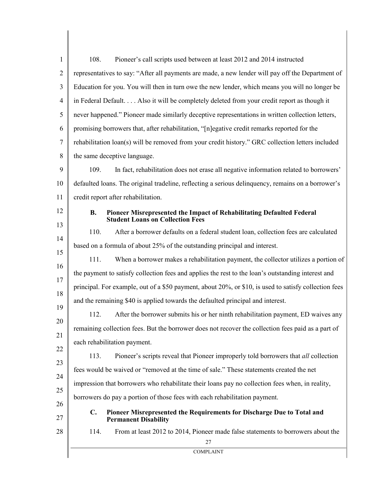| $\mathbf{1}$   | 108.<br>Pioneer's call scripts used between at least 2012 and 2014 instructed                                                 |  |  |  |  |  |
|----------------|-------------------------------------------------------------------------------------------------------------------------------|--|--|--|--|--|
| $\overline{2}$ | representatives to say: "After all payments are made, a new lender will pay off the Department of                             |  |  |  |  |  |
| 3              | Education for you. You will then in turn owe the new lender, which means you will no longer be                                |  |  |  |  |  |
| $\overline{4}$ | in Federal Default Also it will be completely deleted from your credit report as though it                                    |  |  |  |  |  |
| 5              | never happened." Pioneer made similarly deceptive representations in written collection letters,                              |  |  |  |  |  |
| 6              | promising borrowers that, after rehabilitation, "[n]egative credit remarks reported for the                                   |  |  |  |  |  |
| 7              | rehabilitation loan(s) will be removed from your credit history." GRC collection letters included                             |  |  |  |  |  |
| 8              | the same deceptive language.                                                                                                  |  |  |  |  |  |
| 9              | 109.<br>In fact, rehabilitation does not erase all negative information related to borrowers'                                 |  |  |  |  |  |
| 10             | defaulted loans. The original tradeline, reflecting a serious delinquency, remains on a borrower's                            |  |  |  |  |  |
| 11             | credit report after rehabilitation.                                                                                           |  |  |  |  |  |
| 12             | Pioneer Misrepresented the Impact of Rehabilitating Defaulted Federal<br><b>B.</b><br><b>Student Loans on Collection Fees</b> |  |  |  |  |  |
| 13<br>14       | After a borrower defaults on a federal student loan, collection fees are calculated<br>110.                                   |  |  |  |  |  |
| 15             | based on a formula of about 25% of the outstanding principal and interest.                                                    |  |  |  |  |  |
| 16             | 111.<br>When a borrower makes a rehabilitation payment, the collector utilizes a portion of                                   |  |  |  |  |  |
|                | the payment to satisfy collection fees and applies the rest to the loan's outstanding interest and                            |  |  |  |  |  |
|                | principal. For example, out of a \$50 payment, about 20%, or \$10, is used to satisfy collection fees                         |  |  |  |  |  |
|                | and the remaining \$40 is applied towards the defaulted principal and interest.                                               |  |  |  |  |  |
| 19             | After the borrower submits his or her ninth rehabilitation payment, ED waives any<br>112.                                     |  |  |  |  |  |
| 20             | remaining collection fees. But the borrower does not recover the collection fees paid as a part of                            |  |  |  |  |  |
| 21<br>22       | each rehabilitation payment.                                                                                                  |  |  |  |  |  |
| 23             | 113.<br>Pioneer's scripts reveal that Pioneer improperly told borrowers that all collection                                   |  |  |  |  |  |
| 24             | fees would be waived or "removed at the time of sale." These statements created the net                                       |  |  |  |  |  |
| 25             | impression that borrowers who rehabilitate their loans pay no collection fees when, in reality,                               |  |  |  |  |  |
| 26             | borrowers do pay a portion of those fees with each rehabilitation payment.                                                    |  |  |  |  |  |
| 27             | Pioneer Misrepresented the Requirements for Discharge Due to Total and<br>$\mathbf{C}$ .<br><b>Permanent Disability</b>       |  |  |  |  |  |
| 28             | 114.<br>From at least 2012 to 2014, Pioneer made false statements to borrowers about the<br>$27\,$                            |  |  |  |  |  |
|                | <b>COMPLAINT</b>                                                                                                              |  |  |  |  |  |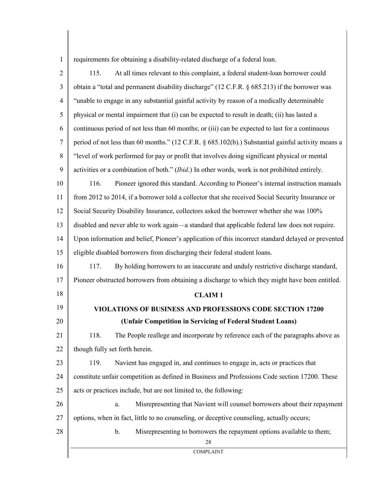| 1   requirements for obtaining a disability-related discharge of a federal loan. |  |  |
|----------------------------------------------------------------------------------|--|--|
|                                                                                  |  |  |

| $\overline{2}$ | At all times relevant to this complaint, a federal student-loan borrower could<br>115.             |  |
|----------------|----------------------------------------------------------------------------------------------------|--|
| 3              | obtain a "total and permanent disability discharge" (12 C.F.R. § 685.213) if the borrower was      |  |
| $\overline{4}$ | "unable to engage in any substantial gainful activity by reason of a medically determinable        |  |
| 5              | physical or mental impairment that (i) can be expected to result in death; (ii) has lasted a       |  |
| 6              | continuous period of not less than 60 months; or (iii) can be expected to last for a continuous    |  |
| $\tau$         | period of not less than 60 months." (12 C.F.R. § 685.102(b).) Substantial gainful activity means a |  |
| 8              | "level of work performed for pay or profit that involves doing significant physical or mental      |  |
| 9              | activities or a combination of both." (Ibid.) In other words, work is not prohibited entirely.     |  |
| 10             | 116.<br>Pioneer ignored this standard. According to Pioneer's internal instruction manuals         |  |
| 11             | from 2012 to 2014, if a borrower told a collector that she received Social Security Insurance or   |  |
| 12             | Social Security Disability Insurance, collectors asked the borrower whether she was 100%           |  |
| 13             | disabled and never able to work again—a standard that applicable federal law does not require.     |  |
| 14             | Upon information and belief, Pioneer's application of this incorrect standard delayed or prevented |  |
| 15             | eligible disabled borrowers from discharging their federal student loans.                          |  |
| 16             | By holding borrowers to an inaccurate and unduly restrictive discharge standard,<br>117.           |  |
| 17             | Pioneer obstructed borrowers from obtaining a discharge to which they might have been entitled.    |  |
| 18             | <b>CLAIM1</b>                                                                                      |  |
| 19             | <b>VIOLATIONS OF BUSINESS AND PROFESSIONS CODE SECTION 17200</b>                                   |  |
| 20             | (Unfair Competition in Servicing of Federal Student Loans)                                         |  |
| 21             | The People reallege and incorporate by reference each of the paragraphs above as<br>118.           |  |
| 22             | though fully set forth herein.                                                                     |  |
| 23             | 119.<br>Navient has engaged in, and continues to engage in, acts or practices that                 |  |
| 24             | constitute unfair competition as defined in Business and Professions Code section 17200. These     |  |
| 25             | acts or practices include, but are not limited to, the following:                                  |  |
| 26             | Misrepresenting that Navient will counsel borrowers about their repayment<br>a.                    |  |
| 27             | options, when in fact, little to no counseling, or deceptive counseling, actually occurs;          |  |
| 28             | Misrepresenting to borrowers the repayment options available to them;<br>$\mathbf b$ .<br>28       |  |
|                | <b>COMPLAINT</b>                                                                                   |  |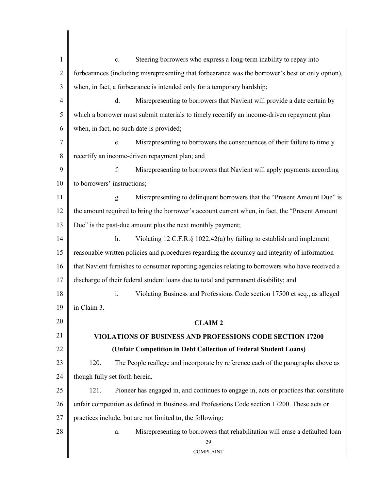1 2 3 4 5 6 7 8 9 10 11 12 13 14 15 16 17 18 19 20 21 22 23 24 25 26 27 28 29 COMPLAINT c. Steering borrowers who express a long-term inability to repay into forbearances (including misrepresenting that forbearance was the borrower's best or only option), when, in fact, a forbearance is intended only for a temporary hardship; d. Misrepresenting to borrowers that Navient will provide a date certain by which a borrower must submit materials to timely recertify an income-driven repayment plan when, in fact, no such date is provided; e. Misrepresenting to borrowers the consequences of their failure to timely recertify an income-driven repayment plan; and f. Misrepresenting to borrowers that Navient will apply payments according to borrowers' instructions; g. Misrepresenting to delinquent borrowers that the "Present Amount Due" is the amount required to bring the borrower's account current when, in fact, the "Present Amount Due" is the past-due amount plus the next monthly payment; h. Violating 12 C.F.R.§ 1022.42(a) by failing to establish and implement reasonable written policies and procedures regarding the accuracy and integrity of information that Navient furnishes to consumer reporting agencies relating to borrowers who have received a discharge of their federal student loans due to total and permanent disability; and i. Violating Business and Professions Code section 17500 et seq., as alleged in Claim 3. **CLAIM 2 VIOLATIONS OF BUSINESS AND PROFESSIONS CODE SECTION 17200 (Unfair Competition in Debt Collection of Federal Student Loans)** 120. The People reallege and incorporate by reference each of the paragraphs above as though fully set forth herein. 121. Pioneer has engaged in, and continues to engage in, acts or practices that constitute unfair competition as defined in Business and Professions Code section 17200. These acts or practices include, but are not limited to, the following: a. Misrepresenting to borrowers that rehabilitation will erase a defaulted loan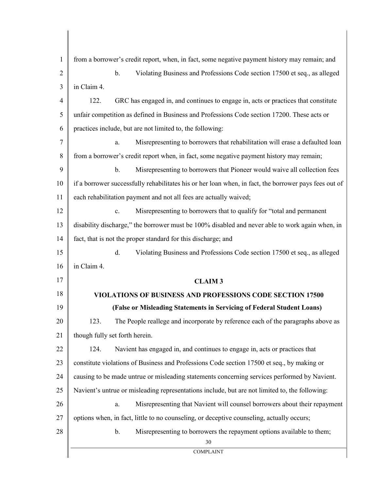1 2 3 4 5 6 7 8 9 10 11 12 13 14 15 16 17 18 19 20 21 22 23 24 25 26 27 28 30 COMPLAINT from a borrower's credit report, when, in fact, some negative payment history may remain; and b. Violating Business and Professions Code section 17500 et seq., as alleged in Claim 4. 122. GRC has engaged in, and continues to engage in, acts or practices that constitute unfair competition as defined in Business and Professions Code section 17200. These acts or practices include, but are not limited to, the following: a. Misrepresenting to borrowers that rehabilitation will erase a defaulted loan from a borrower's credit report when, in fact, some negative payment history may remain; b. Misrepresenting to borrowers that Pioneer would waive all collection fees if a borrower successfully rehabilitates his or her loan when, in fact, the borrower pays fees out of each rehabilitation payment and not all fees are actually waived; c. Misrepresenting to borrowers that to qualify for "total and permanent disability discharge," the borrower must be 100% disabled and never able to work again when, in fact, that is not the proper standard for this discharge; and d. Violating Business and Professions Code section 17500 et seq., as alleged in Claim 4. **CLAIM 3 VIOLATIONS OF BUSINESS AND PROFESSIONS CODE SECTION 17500 (False or Misleading Statements in Servicing of Federal Student Loans)** 123. The People reallege and incorporate by reference each of the paragraphs above as though fully set forth herein. 124. Navient has engaged in, and continues to engage in, acts or practices that constitute violations of Business and Professions Code section 17500 et seq., by making or causing to be made untrue or misleading statements concerning services performed by Navient. Navient's untrue or misleading representations include, but are not limited to, the following: a. Misrepresenting that Navient will counsel borrowers about their repayment options when, in fact, little to no counseling, or deceptive counseling, actually occurs; b. Misrepresenting to borrowers the repayment options available to them;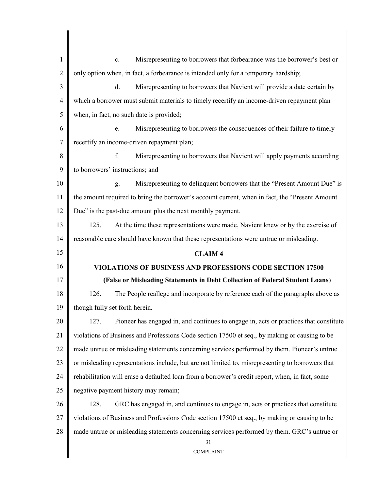1 2 3 4 5 6 7 8 9 10 11 12 13 14 15 16 17 18 19 20 21 22 23 24 25 26 27 28 31 COMPLAINT c. Misrepresenting to borrowers that forbearance was the borrower's best or only option when, in fact, a forbearance is intended only for a temporary hardship; d. Misrepresenting to borrowers that Navient will provide a date certain by which a borrower must submit materials to timely recertify an income-driven repayment plan when, in fact, no such date is provided; e. Misrepresenting to borrowers the consequences of their failure to timely recertify an income-driven repayment plan; f. Misrepresenting to borrowers that Navient will apply payments according to borrowers' instructions; and g. Misrepresenting to delinquent borrowers that the "Present Amount Due" is the amount required to bring the borrower's account current, when in fact, the "Present Amount Due" is the past-due amount plus the next monthly payment. 125. At the time these representations were made, Navient knew or by the exercise of reasonable care should have known that these representations were untrue or misleading. **CLAIM 4 VIOLATIONS OF BUSINESS AND PROFESSIONS CODE SECTION 17500 (False or Misleading Statements in Debt Collection of Federal Student Loans**) 126. The People reallege and incorporate by reference each of the paragraphs above as though fully set forth herein. 127. Pioneer has engaged in, and continues to engage in, acts or practices that constitute violations of Business and Professions Code section 17500 et seq., by making or causing to be made untrue or misleading statements concerning services performed by them. Pioneer's untrue or misleading representations include, but are not limited to, misrepresenting to borrowers that rehabilitation will erase a defaulted loan from a borrower's credit report, when, in fact, some negative payment history may remain; 128. GRC has engaged in, and continues to engage in, acts or practices that constitute violations of Business and Professions Code section 17500 et seq., by making or causing to be made untrue or misleading statements concerning services performed by them. GRC's untrue or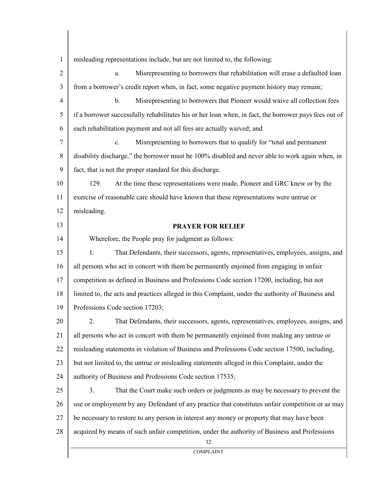1 misleading representations include, but are not limited to, the following:

| $\mathbf{2}$   | Misrepresenting to borrowers that rehabilitation will erase a defaulted loan<br>a.                    |
|----------------|-------------------------------------------------------------------------------------------------------|
| 3              | from a borrower's credit report when, in fact, some negative payment history may remain;              |
| $\overline{4}$ | Misrepresenting to borrowers that Pioneer would waive all collection fees<br>$\mathbf b$ .            |
| 5              | if a borrower successfully rehabilitates his or her loan when, in fact, the borrower pays fees out of |
| 6              | each rehabilitation payment and not all fees are actually waived; and                                 |
| $\tau$         | Misrepresenting to borrowers that to qualify for "total and permanent"<br>$\mathbf{c}$ .              |
| 8              | disability discharge," the borrower must be 100% disabled and never able to work again when, in       |
| 9              | fact, that is not the proper standard for this discharge.                                             |
| 10             | 129.<br>At the time these representations were made, Pioneer and GRC knew or by the                   |
| 11             | exercise of reasonable care should have known that these representations were untrue or               |
| 12             | misleading.                                                                                           |
| 13             | <b>PRAYER FOR RELIEF</b>                                                                              |
| 14             | Wherefore, the People pray for judgment as follows:                                                   |
| 15             | 1.<br>That Defendants, their successors, agents, representatives, employees, assigns, and             |
| 16             | all persons who act in concert with them be permanently enjoined from engaging in unfair              |
| 17             | competition as defined in Business and Professions Code section 17200, including, but not             |
| 18             | limited to, the acts and practices alleged in this Complaint, under the authority of Business and     |
| 19             | Professions Code section 17203;                                                                       |
| 20             | 2.<br>That Defendants, their successors, agents, representatives, employees, assigns, and             |
| 21             | all persons who act in concert with them be permanently enjoined from making any untrue or            |
| 22             | misleading statements in violation of Business and Professions Code section 17500, including,         |
| 23             | but not limited to, the untrue or misleading statements alleged in this Complaint, under the          |
| 24             | authority of Business and Professions Code section 17535;                                             |
| 25             | 3.<br>That the Court make such orders or judgments as may be necessary to prevent the                 |
| 26             | use or employment by any Defendant of any practice that constitutes unfair competition or as may      |
| 27             | be necessary to restore to any person in interest any money or property that may have been            |
| 28             | acquired by means of such unfair competition, under the authority of Business and Professions         |
|                | 32<br><b>COMPLAINT</b>                                                                                |
|                |                                                                                                       |